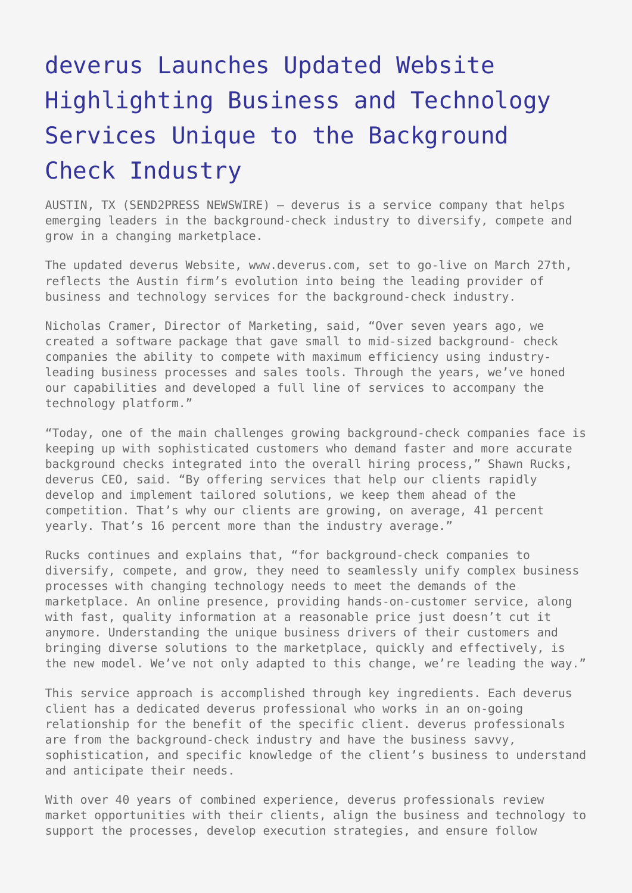## [deverus Launches Updated Website](https://www.send2press.com/wire/2006-03-0329-001/) [Highlighting Business and Technology](https://www.send2press.com/wire/2006-03-0329-001/) [Services Unique to the Background](https://www.send2press.com/wire/2006-03-0329-001/) [Check Industry](https://www.send2press.com/wire/2006-03-0329-001/)

AUSTIN, TX (SEND2PRESS NEWSWIRE) — deverus is a service company that helps emerging leaders in the background-check industry to diversify, compete and grow in a changing marketplace.

The updated deverus Website, www.deverus.com, set to go-live on March 27th, reflects the Austin firm's evolution into being the leading provider of business and technology services for the background-check industry.

Nicholas Cramer, Director of Marketing, said, "Over seven years ago, we created a software package that gave small to mid-sized background- check companies the ability to compete with maximum efficiency using industryleading business processes and sales tools. Through the years, we've honed our capabilities and developed a full line of services to accompany the technology platform."

"Today, one of the main challenges growing background-check companies face is keeping up with sophisticated customers who demand faster and more accurate background checks integrated into the overall hiring process," Shawn Rucks, deverus CEO, said. "By offering services that help our clients rapidly develop and implement tailored solutions, we keep them ahead of the competition. That's why our clients are growing, on average, 41 percent yearly. That's 16 percent more than the industry average."

Rucks continues and explains that, "for background-check companies to diversify, compete, and grow, they need to seamlessly unify complex business processes with changing technology needs to meet the demands of the marketplace. An online presence, providing hands-on-customer service, along with fast, quality information at a reasonable price just doesn't cut it anymore. Understanding the unique business drivers of their customers and bringing diverse solutions to the marketplace, quickly and effectively, is the new model. We've not only adapted to this change, we're leading the way."

This service approach is accomplished through key ingredients. Each deverus client has a dedicated deverus professional who works in an on-going relationship for the benefit of the specific client. deverus professionals are from the background-check industry and have the business savvy, sophistication, and specific knowledge of the client's business to understand and anticipate their needs.

With over 40 years of combined experience, deverus professionals review market opportunities with their clients, align the business and technology to support the processes, develop execution strategies, and ensure follow